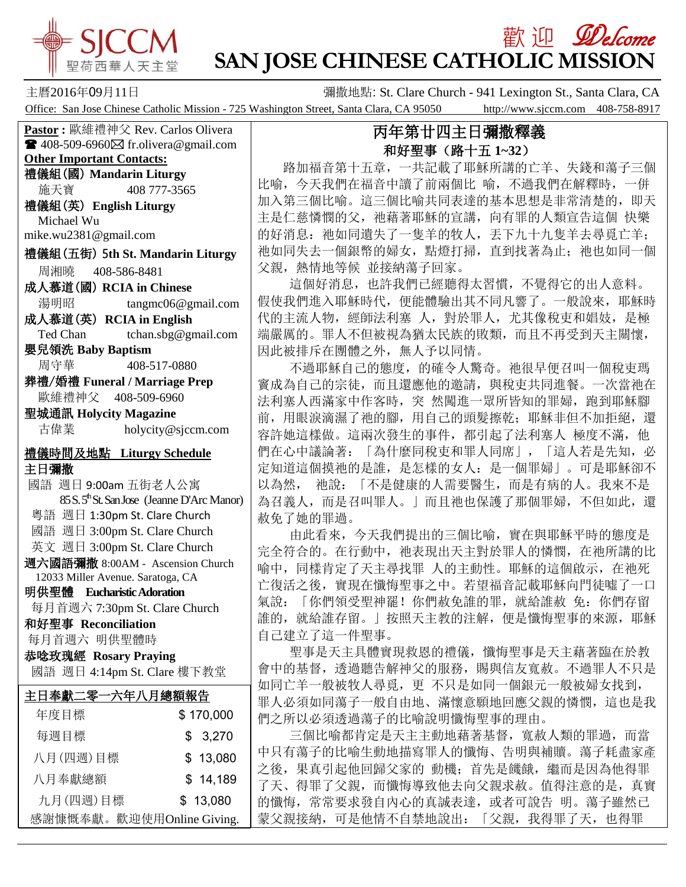

# **歡迎** *Welcome* **SAN JOSE CHINESE CATHOLIC MISSION**

主曆2016年09月11日 彌撒地點: St. Clare Church - 941 Lexington St., Santa Clara, CA Office: San Jose Chinese Catholic Mission - 725 Washington Street, Santa Clara, CA 95050 http://www.sjccm.com 408-758-8917

**Pastor :** 歐維禮神父 Rev. Carlos Olivera  $\blacksquare$  408-509-6960 $\boxtimes$  fr.olivera@gmail.com **Other Important Contacts:** 禮儀組(國) **Mandarin Liturgy** 施天寶 408 777-3565 禮儀組(英) **English Liturgy** Michael Wu mike.wu2381@gmail.com 禮儀組(五街) 5**th St. Mandarin Liturgy** 周湘曉 408-586-8481 成人慕道(國) **RCIA in Chinese** 湯明昭 tangmc06@gmail.com 成人慕道(英) **RCIA in English** Ted Chan tchan.sbg@gmail.com

嬰兒領洗 **Baby Baptism** 周守華 408-517-0880

葬禮/婚禮 **Funeral / Marriage Prep** 歐維禮神父 408-509-6960

聖城通訊 **Holycity Magazine** 古偉業 [holycity@sjccm.com](mailto:holycity@sjccm.com)

#### 禮儀時間及地點 **Liturgy Schedule** 主日彌撒

國語 週日 9:00am 五街老人公寓 85 S. 5<sup>th</sup> St. San Jose (Jeanne D'Arc Manor) 粵語 週日 1:30pm St. Clare Church 國語 週日 3:00pm St. Clare Church 英文 週日 3:00pm St. Clare Church 週六國語彌撒 8:00AM - Ascension Church 12033 Miller Avenue. Saratoga, CA 明供聖體 **Eucharistic Adoration** 每月首週六 7:30pm St. Clare Church 和好聖事 **Reconciliation** 每月首週六 明供聖體時 恭唸玫瑰經 **Rosary Praying** 國語 週日 4:14pm St. Clare 樓下教堂

| 主日奉獻二零一六年八月總額報告           |           |
|---------------------------|-----------|
| 年度目標                      | \$170,000 |
| 每週目標                      | \$3,270   |
| 八月(四週)目標                  | \$13,080  |
| 八月奉獻總額                    | \$14,189  |
| 九月(四週)目標                  | \$13,080  |
| 感謝慷慨奉獻。歡迎使用Online Giving. |           |

## 丙年第廿四主日彌撒釋義 和好聖事(路十五 **1~32**)

 路加福音第十五章,一共記載了耶穌所講的亡羊、失錢和蕩子三個 比喻,今天我們在福音中讀了前兩個比 喻,不過我們在解釋時,一併 加入第三個比喻。這三個比喻共同表達的基本思想是非常清楚的,即天 主是仁慈憐憫的父,祂藉著耶穌的宣講,向有罪的人類宣告這個快樂 的好消息: 祂如同遺失了一隻羊的牧人, 丟下九十九隻羊去尋覓亡羊; 祂如同失去一個銀幣的婦女,點燈打掃,直到找著為止;祂也如同一個 父親,熱情地等候 並接納蕩子回家。

 這個好消息,也許我們已經聽得太習慣,不覺得它的出人意料。 假使我們進入耶穌時代,便能體驗出其不同凡響了。一般說來,耶穌時 代的主流人物,經師法利塞 人,對於罪人,尤其像稅吏和娼妓,是極 端嚴厲的。罪人不但被視為猶太民族的敗類,而且不再受到天主關懷, 因此被排斥在團體之外,無人予以同情。

 不過耶穌自己的態度,的確令人驚奇。祂很早便召叫一個稅吏瑪 竇成為自己的宗徒,而且還應他的邀請,與稅吏共同進餐。一次當祂在 法利塞人西滿家中作客時, 突 然闖進一眾所皆知的罪婦, 跑到耶穌腳 前,用眼淚滴濕了祂的腳,用自己的頭髮擦乾;耶穌非但不加拒絕,還 容許她這樣做。這兩次發生的事件,都引起了法利塞人 極度不滿, 他 們在心中議論著:「為什麼同稅吏和罪人同席」,「這人若是先知,必 定知道這個摸祂的是誰,是怎樣的女人:是一個罪婦」。可是耶穌卻不 以為然, 祂說:「不是健康的人需要醫生,而是有病的人。我來不是 為召義人,而是召叫罪人。|而且祂也保護了那個罪婦,不但如此,還 赦免了她的罪過。

 由此看來,今天我們提出的三個比喻,實在與耶穌平時的態度是 完全符合的。在行動中,祂表現出天主對於罪人的憐憫,在祂所講的比 喻中,同樣肯定了天主尋找罪 人的主動性。耶穌的這個啟示, 在祂死 亡復活之後,實現在懺悔聖事之中。若望福音記載耶穌向門徒噓了一口 氣說:「你們領受聖神罷!你們赦免誰的罪,就給誰赦 免:你們存留 誰的,就給誰存留。」按照天主教的注解,便是懺悔聖事的來源,耶穌 自己建立了這一件聖事。

 聖事是天主具體實現救恩的禮儀,懺悔聖事是天主藉著臨在於教 會中的基督,透過聽告解神父的服務,賜與信友寬赦。不過罪人不只是 如同亡羊一般被牧人尋覓,更 不只是如同一個銀元一般被婦女找到, 罪人必須如同蕩子一般自由地、滿懷意願地回應父親的憐憫,這也是我 們之所以必須透過蕩子的比喻說明懺悔聖事的理由。

 三個比喻都肯定是天主主動地藉著基督,寬赦人類的罪過,而當 中只有蕩子的比喻生動地描寫罪人的懺悔、告明與補贖。蕩子耗盡家產 之後,果真引起他回歸父家的 動機;首先是饑餓,繼而是因為他得罪 了天、得罪了父親,而懺悔導致他去向父親求赦。值得注意的是,真實 的懺悔,常常要求發自內心的真誠表達,或者可說告 明。蕩子雖然已 蒙父親接納,可是他情不自禁地說出:「父親,我得罪了天,也得罪